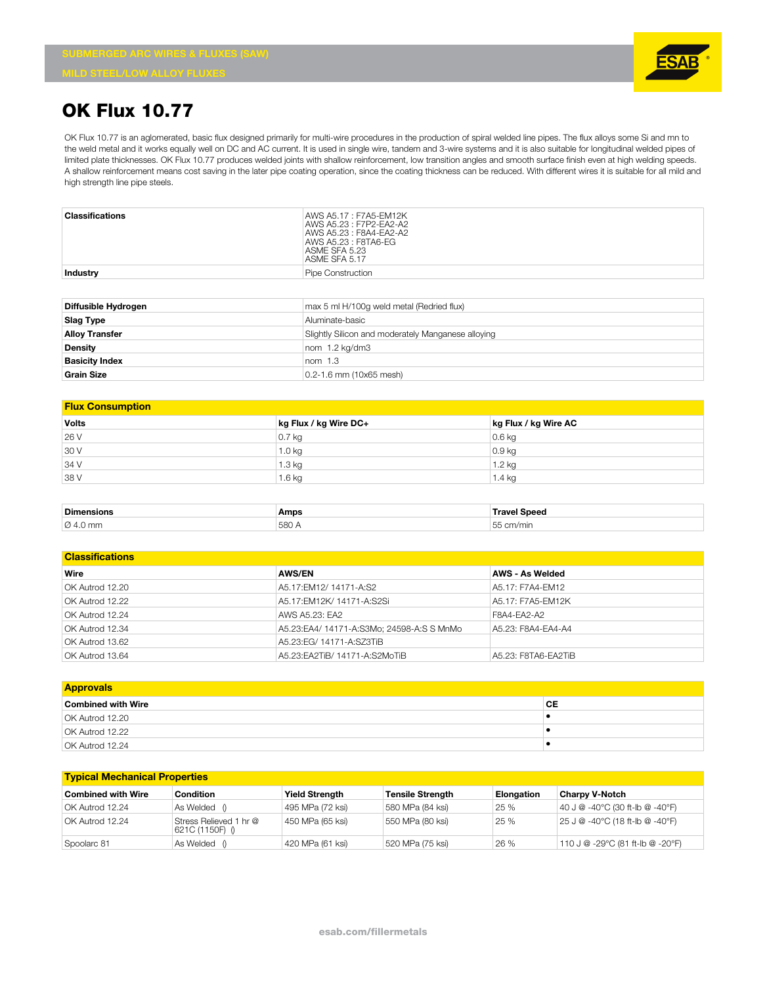**Grain Size** 0.2-1.6 mm (10x65 mesh)



## **OK Flux 10.77**

OK Flux 10.77 is an aglomerated, basic flux designed primarily for multi-wire procedures in the production of spiral welded line pipes. The flux alloys some Si and mn to the weld metal and it works equally well on DC and AC current. It is used in single wire, tandem and 3-wire systems and it is also suitable for longitudinal welded pipes of limited plate thicknesses. OK Flux 10.77 produces welded joints with shallow reinforcement, low transition angles and smooth surface finish even at high welding speeds. A shallow reinforcement means cost saving in the later pipe coating operation, since the coating thickness can be reduced. With different wires it is suitable for all mild and high strength line pipe steels.

| <b>Classifications</b> | AWS A5.17: F7A5-EM12K<br>AWS A5.23 : F7P2-FA2-A2<br>AWS A5.23 : F8A4-FA2-A2<br>AWS A5.23 : F8TA6-EG<br>ASME SFA 5.23<br>ASME SFA 5.17 |  |  |
|------------------------|---------------------------------------------------------------------------------------------------------------------------------------|--|--|
| Industry               | Pipe Construction                                                                                                                     |  |  |
| Diffusible Hydrogen    | max 5 ml H/100q weld metal (Redried flux)                                                                                             |  |  |
| <b>Slag Type</b>       | Aluminate-basic                                                                                                                       |  |  |
| <b>Alloy Transfer</b>  | Slightly Silicon and moderately Manganese alloying                                                                                    |  |  |
| <b>Density</b>         | nom 1.2 kg/dm3                                                                                                                        |  |  |
| <b>Basicity Index</b>  | nom <sub>1.3</sub>                                                                                                                    |  |  |

#### **Flux Consumption**

| _________________________________ |                       |                      |  |
|-----------------------------------|-----------------------|----------------------|--|
| <b>Volts</b>                      | kg Flux / kg Wire DC+ | kg Flux / kg Wire AC |  |
| 26 V                              | 0.7 <sub>kg</sub>     | $0.6$ kg             |  |
| 30 V                              | 1.0 kg                | $0.9$ kg             |  |
| 34 V                              | 1.3 kg                | $1.2$ kg             |  |
| 38 V                              | $1.6$ kg              | 1.4 kg               |  |

| Dimensic             | <b>Amps</b>  | ๛๛๛ |
|----------------------|--------------|-----|
| $\varnothing$ 4.0 mm | 580<br>vuu 1 |     |

## **Classifications**

| Wire            | <b>AWS/EN</b>                             | AWS - As Welded     |
|-----------------|-------------------------------------------|---------------------|
| OK Autrod 12.20 | A5.17:EM12/ 14171-A:S2                    | A5.17: F7A4-FM12    |
| OK Autrod 12.22 | A5.17:EM12K/ 14171-A:S2Si                 | A5.17: F7A5-FM12K   |
| OK Autrod 12.24 | AWS A5.23: EA2                            | F8A4-FA2-A2         |
| OK Autrod 12.34 | A5.23:EA4/ 14171-A:S3Mo; 24598-A:S S MnMo | A5.23: F8A4-FA4-A4  |
| OK Autrod 13.62 | A5.23:EG/ 14171-A:SZ3TiB                  |                     |
| OK Autrod 13.64 | A5.23: EA2TiB/ 14171-A: S2MoTiB           | A5.23: F8TA6-FA2TiB |

| <b>Approvals</b>          |    |
|---------------------------|----|
| <b>Combined with Wire</b> | СE |
| OK Autrod 12.20           |    |
| OK Autrod 12.22           |    |
| OK Autrod 12.24           |    |

### **Typical Mechanical Properties**

| <b>Combined with Wire</b> | Condition                                  | <b>Yield Strength</b> | <b>Tensile Strength</b> | <b>Elongation</b> | <b>Charpy V-Notch</b>                                                            |
|---------------------------|--------------------------------------------|-----------------------|-------------------------|-------------------|----------------------------------------------------------------------------------|
| OK Autrod 12.24           | As Welded                                  | 495 MPa (72 ksi)      | 580 MPa (84 ksi)        | 25 %              | $140 \text{ J} @ -40^{\circ} \text{C} (30 \text{ ft-lb} @ -40^{\circ} \text{F})$ |
| OK Autrod 12.24           | Stress Relieved 1 hr @<br> 621C (1150F) () | 450 MPa (65 ksi)      | 550 MPa (80 ksi)        | 25 %              | 25 J @ -40°C (18 ft-lb @ -40°F)                                                  |
| Spoolarc 81               | As Welded                                  | 420 MPa (61 ksi)      | 520 MPa (75 ksi)        | 26 %              | 110 J @ -29°C (81 ft-lb @ -20°F)                                                 |